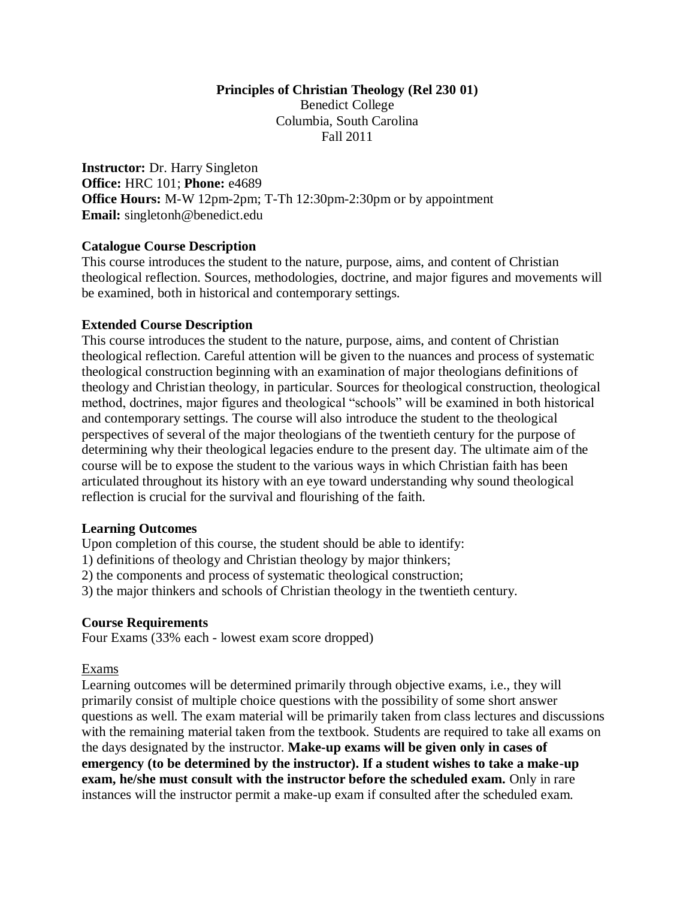#### **Principles of Christian Theology (Rel 230 01)** Benedict College

Columbia, South Carolina Fall 2011

**Instructor:** Dr. Harry Singleton **Office:** HRC 101; **Phone:** e4689 **Office Hours:** M-W 12pm-2pm; T-Th 12:30pm-2:30pm or by appointment **Email:** singletonh@benedict.edu

## **Catalogue Course Description**

This course introduces the student to the nature, purpose, aims, and content of Christian theological reflection. Sources, methodologies, doctrine, and major figures and movements will be examined, both in historical and contemporary settings.

## **Extended Course Description**

This course introduces the student to the nature, purpose, aims, and content of Christian theological reflection. Careful attention will be given to the nuances and process of systematic theological construction beginning with an examination of major theologians definitions of theology and Christian theology, in particular. Sources for theological construction, theological method, doctrines, major figures and theological "schools" will be examined in both historical and contemporary settings. The course will also introduce the student to the theological perspectives of several of the major theologians of the twentieth century for the purpose of determining why their theological legacies endure to the present day. The ultimate aim of the course will be to expose the student to the various ways in which Christian faith has been articulated throughout its history with an eye toward understanding why sound theological reflection is crucial for the survival and flourishing of the faith.

## **Learning Outcomes**

Upon completion of this course, the student should be able to identify:

1) definitions of theology and Christian theology by major thinkers;

2) the components and process of systematic theological construction;

3) the major thinkers and schools of Christian theology in the twentieth century.

## **Course Requirements**

Four Exams (33% each - lowest exam score dropped)

## Exams

Learning outcomes will be determined primarily through objective exams, i.e., they will primarily consist of multiple choice questions with the possibility of some short answer questions as well. The exam material will be primarily taken from class lectures and discussions with the remaining material taken from the textbook. Students are required to take all exams on the days designated by the instructor. **Make-up exams will be given only in cases of emergency (to be determined by the instructor). If a student wishes to take a make-up exam, he/she must consult with the instructor before the scheduled exam.** Only in rare instances will the instructor permit a make-up exam if consulted after the scheduled exam.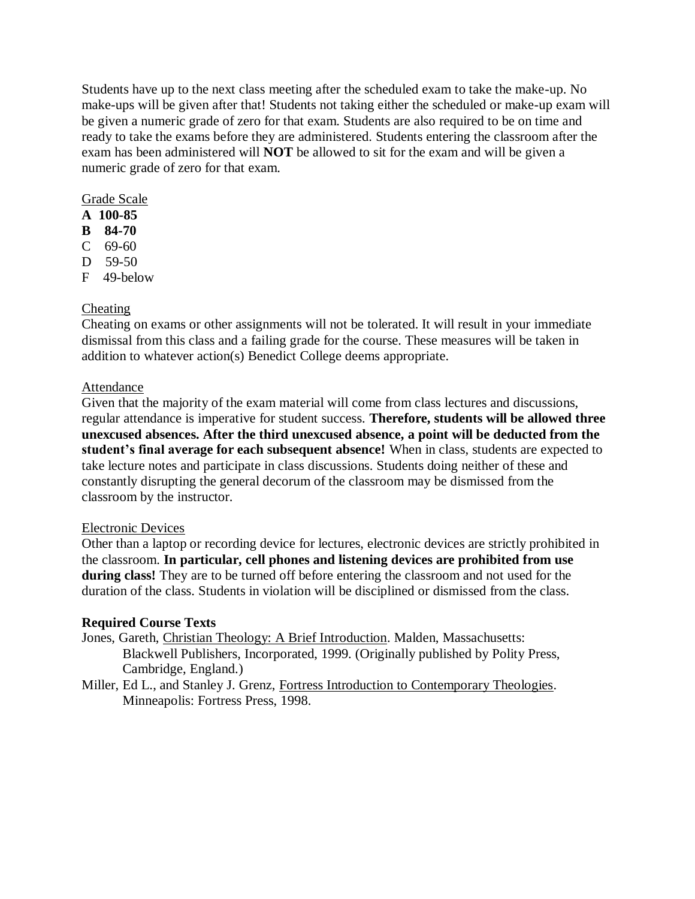Students have up to the next class meeting after the scheduled exam to take the make-up. No make-ups will be given after that! Students not taking either the scheduled or make-up exam will be given a numeric grade of zero for that exam. Students are also required to be on time and ready to take the exams before they are administered. Students entering the classroom after the exam has been administered will **NOT** be allowed to sit for the exam and will be given a numeric grade of zero for that exam.

## Grade Scale

- **A 100-85**
- **B 84-70**
- C 69-60
- D 59-50
- F 49-below

## Cheating

Cheating on exams or other assignments will not be tolerated. It will result in your immediate dismissal from this class and a failing grade for the course. These measures will be taken in addition to whatever action(s) Benedict College deems appropriate.

## **Attendance**

Given that the majority of the exam material will come from class lectures and discussions, regular attendance is imperative for student success. **Therefore, students will be allowed three unexcused absences. After the third unexcused absence, a point will be deducted from the student's final average for each subsequent absence!** When in class, students are expected to take lecture notes and participate in class discussions. Students doing neither of these and constantly disrupting the general decorum of the classroom may be dismissed from the classroom by the instructor.

## Electronic Devices

Other than a laptop or recording device for lectures, electronic devices are strictly prohibited in the classroom. **In particular, cell phones and listening devices are prohibited from use during class!** They are to be turned off before entering the classroom and not used for the duration of the class. Students in violation will be disciplined or dismissed from the class.

## **Required Course Texts**

- Jones, Gareth, Christian Theology: A Brief Introduction. Malden, Massachusetts: Blackwell Publishers, Incorporated, 1999. (Originally published by Polity Press, Cambridge, England.)
- Miller, Ed L., and Stanley J. Grenz, Fortress Introduction to Contemporary Theologies. Minneapolis: Fortress Press, 1998.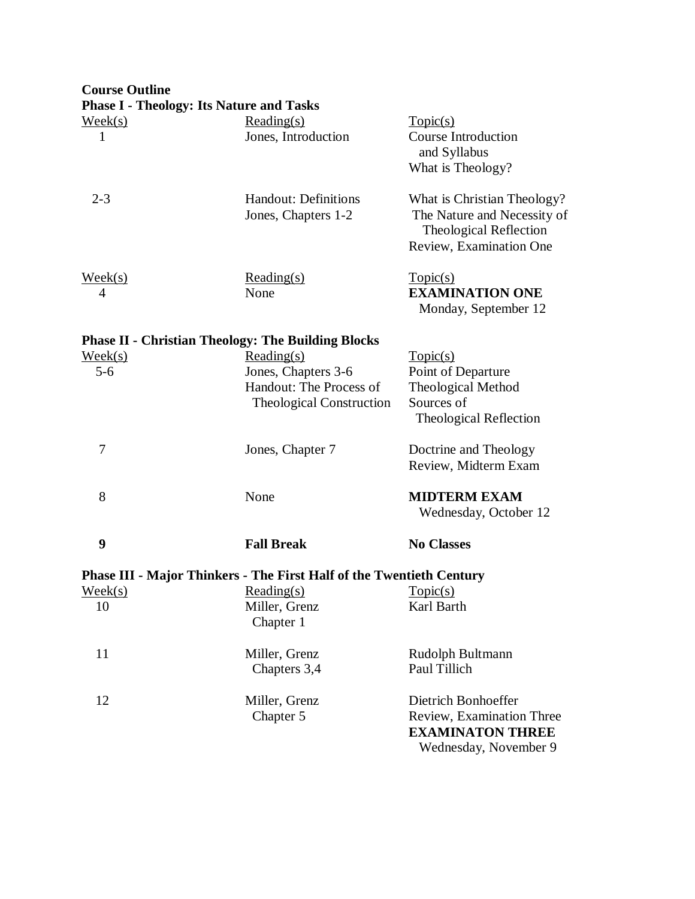# **Course Outline**

|                             | <b>Phase I - Theology: Its Nature and Tasks</b>                                                 |                                                                                                                        |
|-----------------------------|-------------------------------------------------------------------------------------------------|------------------------------------------------------------------------------------------------------------------------|
| $\text{Week}(s)$<br>1       | $Reading(s)$<br>Jones, Introduction                                                             | Topic(s)<br><b>Course Introduction</b><br>and Syllabus<br>What is Theology?                                            |
| $2 - 3$                     | Handout: Definitions<br>Jones, Chapters 1-2                                                     | What is Christian Theology?<br>The Nature and Necessity of<br><b>Theological Reflection</b><br>Review, Examination One |
| $\text{Week}(s)$<br>4       | $Reading(s)$<br>None                                                                            | Topic(s)<br><b>EXAMINATION ONE</b><br>Monday, September 12                                                             |
|                             | <b>Phase II - Christian Theology: The Building Blocks</b>                                       |                                                                                                                        |
| $\text{Week}(s)$<br>$5 - 6$ | Reading(s)<br>Jones, Chapters 3-6<br>Handout: The Process of<br><b>Theological Construction</b> | Topic(s)<br>Point of Departure<br>Theological Method<br>Sources of<br>Theological Reflection                           |
| 7                           | Jones, Chapter 7                                                                                | Doctrine and Theology<br>Review, Midterm Exam                                                                          |
| 8                           | None                                                                                            | <b>MIDTERM EXAM</b><br>Wednesday, October 12                                                                           |
| 9                           | <b>Fall Break</b>                                                                               | <b>No Classes</b>                                                                                                      |
|                             | <b>Phase III - Major Thinkers - The First Half of the Twentieth Century</b>                     |                                                                                                                        |
| $\text{Week}(s)$            | Reading(s)                                                                                      | Topic(s)                                                                                                               |
| 10                          | Miller, Grenz<br>Chapter 1                                                                      | Karl Barth                                                                                                             |
| 11                          | Miller, Grenz<br>Chapters 3,4                                                                   | Rudolph Bultmann<br>Paul Tillich                                                                                       |
| 12                          | Miller, Grenz<br>Chapter 5                                                                      | Dietrich Bonhoeffer<br>Review, Examination Three<br><b>EXAMINATON THREE</b><br>Wednesday, November 9                   |